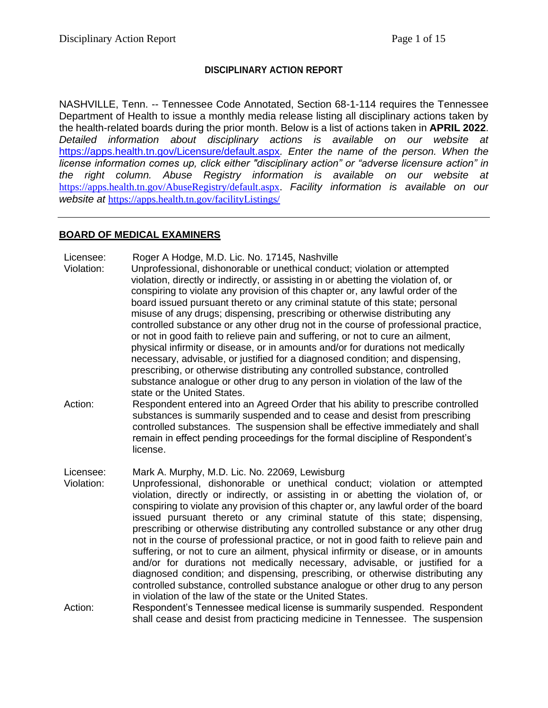### **DISCIPLINARY ACTION REPORT**

NASHVILLE, Tenn. -- Tennessee Code Annotated, Section 68-1-114 requires the Tennessee Department of Health to issue a monthly media release listing all disciplinary actions taken by the health-related boards during the prior month. Below is a list of actions taken in **APRIL 2022**. *Detailed information about disciplinary actions is available on our website at*  <https://apps.health.tn.gov/Licensure/default.aspx>*. Enter the name of the person. When the license information comes up, click either "disciplinary action" or "adverse licensure action" in the right column. Abuse Registry information is available on our website at* [https://apps.health.tn.gov/AbuseRegistry/default.aspx.](https://apps.health.tn.gov/AbuseRegistry/default.aspx) *Facility information is available on our website at* <https://apps.health.tn.gov/facilityListings/>

#### **BOARD OF MEDICAL EXAMINERS**

Licensee: Roger A Hodge, M.D. Lic. No. 17145, Nashville

- Violation: Unprofessional, dishonorable or unethical conduct; violation or attempted violation, directly or indirectly, or assisting in or abetting the violation of, or conspiring to violate any provision of this chapter or, any lawful order of the board issued pursuant thereto or any criminal statute of this state; personal misuse of any drugs; dispensing, prescribing or otherwise distributing any controlled substance or any other drug not in the course of professional practice, or not in good faith to relieve pain and suffering, or not to cure an ailment, physical infirmity or disease, or in amounts and/or for durations not medically necessary, advisable, or justified for a diagnosed condition; and dispensing, prescribing, or otherwise distributing any controlled substance, controlled substance analogue or other drug to any person in violation of the law of the state or the United States.
- Action: Respondent entered into an Agreed Order that his ability to prescribe controlled substances is summarily suspended and to cease and desist from prescribing controlled substances. The suspension shall be effective immediately and shall remain in effect pending proceedings for the formal discipline of Respondent's license.

Licensee: Mark A. Murphy, M.D. Lic. No. 22069, Lewisburg

- Violation: Unprofessional, dishonorable or unethical conduct; violation or attempted violation, directly or indirectly, or assisting in or abetting the violation of, or conspiring to violate any provision of this chapter or, any lawful order of the board issued pursuant thereto or any criminal statute of this state; dispensing, prescribing or otherwise distributing any controlled substance or any other drug not in the course of professional practice, or not in good faith to relieve pain and suffering, or not to cure an ailment, physical infirmity or disease, or in amounts and/or for durations not medically necessary, advisable, or justified for a diagnosed condition; and dispensing, prescribing, or otherwise distributing any controlled substance, controlled substance analogue or other drug to any person in violation of the law of the state or the United States.
- Action: Respondent's Tennessee medical license is summarily suspended. Respondent shall cease and desist from practicing medicine in Tennessee. The suspension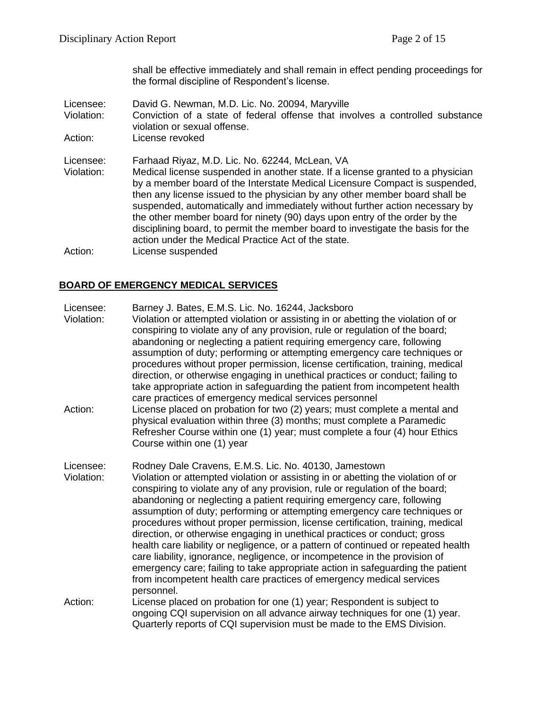shall be effective immediately and shall remain in effect pending proceedings for the formal discipline of Respondent's license.

Licensee: David G. Newman, M.D. Lic. No. 20094, Maryville Violation: Conviction of a state of federal offense that involves a controlled substance violation or sexual offense. Action: License revoked Licensee: Farhaad Riyaz, M.D. Lic. No. 62244, McLean, VA Violation: Medical license suspended in another state. If a license granted to a physician by a member board of the Interstate Medical Licensure Compact is suspended, then any license issued to the physician by any other member board shall be suspended, automatically and immediately without further action necessary by the other member board for ninety (90) days upon entry of the order by the disciplining board, to permit the member board to investigate the basis for the action under the Medical Practice Act of the state. Action: License suspended

# **BOARD OF EMERGENCY MEDICAL SERVICES**

Licensee: Barney J. Bates, E.M.S. Lic. No. 16244, Jacksboro

- Violation: Violation or attempted violation or assisting in or abetting the violation of or conspiring to violate any of any provision, rule or regulation of the board; abandoning or neglecting a patient requiring emergency care, following assumption of duty; performing or attempting emergency care techniques or procedures without proper permission, license certification, training, medical direction, or otherwise engaging in unethical practices or conduct; failing to take appropriate action in safeguarding the patient from incompetent health care practices of emergency medical services personnel
- Action: License placed on probation for two (2) years; must complete a mental and physical evaluation within three (3) months; must complete a Paramedic Refresher Course within one (1) year; must complete a four (4) hour Ethics Course within one (1) year
- Licensee: Rodney Dale Cravens, E.M.S. Lic. No. 40130, Jamestown Violation: Violation or attempted violation or assisting in or abetting the violation of or conspiring to violate any of any provision, rule or regulation of the board; abandoning or neglecting a patient requiring emergency care, following assumption of duty; performing or attempting emergency care techniques or procedures without proper permission, license certification, training, medical direction, or otherwise engaging in unethical practices or conduct; gross health care liability or negligence, or a pattern of continued or repeated health care liability, ignorance, negligence, or incompetence in the provision of emergency care; failing to take appropriate action in safeguarding the patient from incompetent health care practices of emergency medical services personnel.
- Action: License placed on probation for one (1) year; Respondent is subject to ongoing CQI supervision on all advance airway techniques for one (1) year. Quarterly reports of CQI supervision must be made to the EMS Division.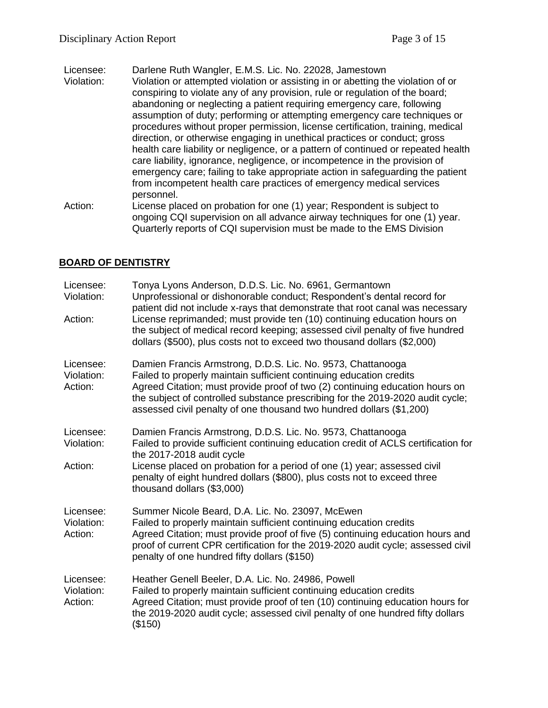Licensee: Darlene Ruth Wangler, E.M.S. Lic. No. 22028, Jamestown

- Violation: Violation or attempted violation or assisting in or abetting the violation of or conspiring to violate any of any provision, rule or regulation of the board; abandoning or neglecting a patient requiring emergency care, following assumption of duty; performing or attempting emergency care techniques or procedures without proper permission, license certification, training, medical direction, or otherwise engaging in unethical practices or conduct; gross health care liability or negligence, or a pattern of continued or repeated health care liability, ignorance, negligence, or incompetence in the provision of emergency care; failing to take appropriate action in safeguarding the patient from incompetent health care practices of emergency medical services personnel.
- Action: License placed on probation for one (1) year; Respondent is subject to ongoing CQI supervision on all advance airway techniques for one (1) year. Quarterly reports of CQI supervision must be made to the EMS Division

# **BOARD OF DENTISTRY**

| Licensee:<br>Violation:            | Tonya Lyons Anderson, D.D.S. Lic. No. 6961, Germantown<br>Unprofessional or dishonorable conduct; Respondent's dental record for<br>patient did not include x-rays that demonstrate that root canal was necessary                                                                                                                                                            |
|------------------------------------|------------------------------------------------------------------------------------------------------------------------------------------------------------------------------------------------------------------------------------------------------------------------------------------------------------------------------------------------------------------------------|
| Action:                            | License reprimanded; must provide ten (10) continuing education hours on<br>the subject of medical record keeping; assessed civil penalty of five hundred<br>dollars (\$500), plus costs not to exceed two thousand dollars (\$2,000)                                                                                                                                        |
| Licensee:<br>Violation:<br>Action: | Damien Francis Armstrong, D.D.S. Lic. No. 9573, Chattanooga<br>Failed to properly maintain sufficient continuing education credits<br>Agreed Citation; must provide proof of two (2) continuing education hours on<br>the subject of controlled substance prescribing for the 2019-2020 audit cycle;<br>assessed civil penalty of one thousand two hundred dollars (\$1,200) |
| Licensee:<br>Violation:<br>Action: | Damien Francis Armstrong, D.D.S. Lic. No. 9573, Chattanooga<br>Failed to provide sufficient continuing education credit of ACLS certification for<br>the 2017-2018 audit cycle<br>License placed on probation for a period of one (1) year; assessed civil<br>penalty of eight hundred dollars (\$800), plus costs not to exceed three<br>thousand dollars (\$3,000)         |
| Licensee:<br>Violation:<br>Action: | Summer Nicole Beard, D.A. Lic. No. 23097, McEwen<br>Failed to properly maintain sufficient continuing education credits<br>Agreed Citation; must provide proof of five (5) continuing education hours and<br>proof of current CPR certification for the 2019-2020 audit cycle; assessed civil<br>penalty of one hundred fifty dollars (\$150)                                |
| Licensee:<br>Violation:<br>Action: | Heather Genell Beeler, D.A. Lic. No. 24986, Powell<br>Failed to properly maintain sufficient continuing education credits<br>Agreed Citation; must provide proof of ten (10) continuing education hours for<br>the 2019-2020 audit cycle; assessed civil penalty of one hundred fifty dollars<br>(\$150)                                                                     |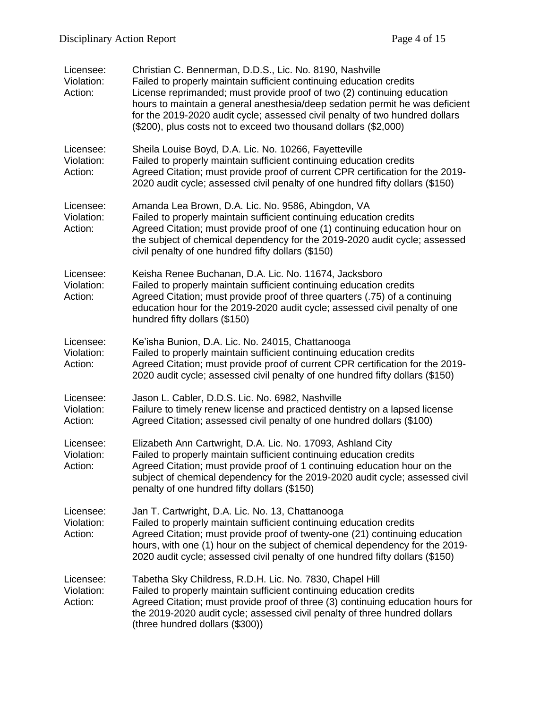| Licensee:<br>Violation:<br>Action: | Christian C. Bennerman, D.D.S., Lic. No. 8190, Nashville<br>Failed to properly maintain sufficient continuing education credits<br>License reprimanded; must provide proof of two (2) continuing education<br>hours to maintain a general anesthesia/deep sedation permit he was deficient<br>for the 2019-2020 audit cycle; assessed civil penalty of two hundred dollars<br>(\$200), plus costs not to exceed two thousand dollars (\$2,000) |
|------------------------------------|------------------------------------------------------------------------------------------------------------------------------------------------------------------------------------------------------------------------------------------------------------------------------------------------------------------------------------------------------------------------------------------------------------------------------------------------|
| Licensee:<br>Violation:<br>Action: | Sheila Louise Boyd, D.A. Lic. No. 10266, Fayetteville<br>Failed to properly maintain sufficient continuing education credits<br>Agreed Citation; must provide proof of current CPR certification for the 2019-<br>2020 audit cycle; assessed civil penalty of one hundred fifty dollars (\$150)                                                                                                                                                |
| Licensee:<br>Violation:<br>Action: | Amanda Lea Brown, D.A. Lic. No. 9586, Abingdon, VA<br>Failed to properly maintain sufficient continuing education credits<br>Agreed Citation; must provide proof of one (1) continuing education hour on<br>the subject of chemical dependency for the 2019-2020 audit cycle; assessed<br>civil penalty of one hundred fifty dollars (\$150)                                                                                                   |
| Licensee:<br>Violation:<br>Action: | Keisha Renee Buchanan, D.A. Lic. No. 11674, Jacksboro<br>Failed to properly maintain sufficient continuing education credits<br>Agreed Citation; must provide proof of three quarters (.75) of a continuing<br>education hour for the 2019-2020 audit cycle; assessed civil penalty of one<br>hundred fifty dollars (\$150)                                                                                                                    |
| Licensee:<br>Violation:<br>Action: | Ke'isha Bunion, D.A. Lic. No. 24015, Chattanooga<br>Failed to properly maintain sufficient continuing education credits<br>Agreed Citation; must provide proof of current CPR certification for the 2019-<br>2020 audit cycle; assessed civil penalty of one hundred fifty dollars (\$150)                                                                                                                                                     |
| Licensee:<br>Violation:<br>Action: | Jason L. Cabler, D.D.S. Lic. No. 6982, Nashville<br>Failure to timely renew license and practiced dentistry on a lapsed license<br>Agreed Citation; assessed civil penalty of one hundred dollars (\$100)                                                                                                                                                                                                                                      |
| Licensee:<br>Violation:<br>Action: | Elizabeth Ann Cartwright, D.A. Lic. No. 17093, Ashland City<br>Failed to properly maintain sufficient continuing education credits<br>Agreed Citation; must provide proof of 1 continuing education hour on the<br>subject of chemical dependency for the 2019-2020 audit cycle; assessed civil<br>penalty of one hundred fifty dollars (\$150)                                                                                                |
| Licensee:<br>Violation:<br>Action: | Jan T. Cartwright, D.A. Lic. No. 13, Chattanooga<br>Failed to properly maintain sufficient continuing education credits<br>Agreed Citation; must provide proof of twenty-one (21) continuing education<br>hours, with one (1) hour on the subject of chemical dependency for the 2019-<br>2020 audit cycle; assessed civil penalty of one hundred fifty dollars (\$150)                                                                        |
| Licensee:<br>Violation:<br>Action: | Tabetha Sky Childress, R.D.H. Lic. No. 7830, Chapel Hill<br>Failed to properly maintain sufficient continuing education credits<br>Agreed Citation; must provide proof of three (3) continuing education hours for<br>the 2019-2020 audit cycle; assessed civil penalty of three hundred dollars<br>(three hundred dollars (\$300))                                                                                                            |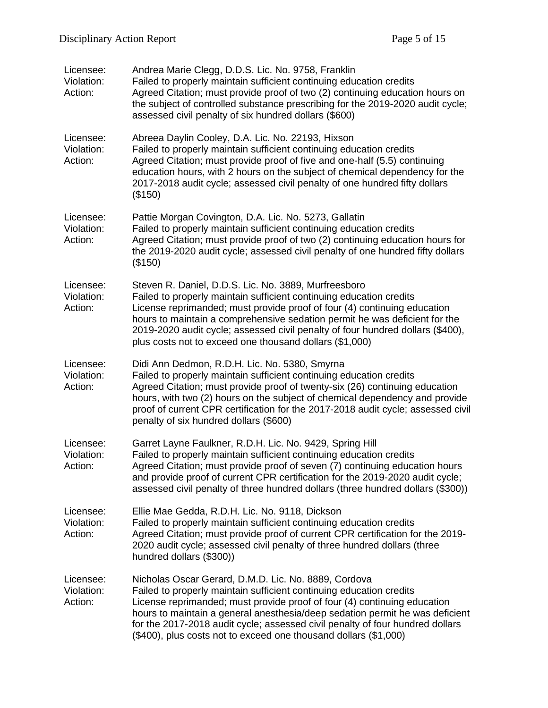| Licensee:<br>Violation:<br>Action: | Andrea Marie Clegg, D.D.S. Lic. No. 9758, Franklin<br>Failed to properly maintain sufficient continuing education credits<br>Agreed Citation; must provide proof of two (2) continuing education hours on<br>the subject of controlled substance prescribing for the 2019-2020 audit cycle;<br>assessed civil penalty of six hundred dollars (\$600)                                                                                         |
|------------------------------------|----------------------------------------------------------------------------------------------------------------------------------------------------------------------------------------------------------------------------------------------------------------------------------------------------------------------------------------------------------------------------------------------------------------------------------------------|
| Licensee:<br>Violation:<br>Action: | Abreea Daylin Cooley, D.A. Lic. No. 22193, Hixson<br>Failed to properly maintain sufficient continuing education credits<br>Agreed Citation; must provide proof of five and one-half (5.5) continuing<br>education hours, with 2 hours on the subject of chemical dependency for the<br>2017-2018 audit cycle; assessed civil penalty of one hundred fifty dollars<br>(\$150)                                                                |
| Licensee:<br>Violation:<br>Action: | Pattie Morgan Covington, D.A. Lic. No. 5273, Gallatin<br>Failed to properly maintain sufficient continuing education credits<br>Agreed Citation; must provide proof of two (2) continuing education hours for<br>the 2019-2020 audit cycle; assessed civil penalty of one hundred fifty dollars<br>(\$150)                                                                                                                                   |
| Licensee:<br>Violation:<br>Action: | Steven R. Daniel, D.D.S. Lic. No. 3889, Murfreesboro<br>Failed to properly maintain sufficient continuing education credits<br>License reprimanded; must provide proof of four (4) continuing education<br>hours to maintain a comprehensive sedation permit he was deficient for the<br>2019-2020 audit cycle; assessed civil penalty of four hundred dollars (\$400),<br>plus costs not to exceed one thousand dollars (\$1,000)           |
| Licensee:<br>Violation:<br>Action: | Didi Ann Dedmon, R.D.H. Lic. No. 5380, Smyrna<br>Failed to properly maintain sufficient continuing education credits<br>Agreed Citation; must provide proof of twenty-six (26) continuing education<br>hours, with two (2) hours on the subject of chemical dependency and provide<br>proof of current CPR certification for the 2017-2018 audit cycle; assessed civil<br>penalty of six hundred dollars (\$600)                             |
| Licensee:<br>Violation:<br>Action: | Garret Layne Faulkner, R.D.H. Lic. No. 9429, Spring Hill<br>Failed to properly maintain sufficient continuing education credits<br>Agreed Citation; must provide proof of seven (7) continuing education hours<br>and provide proof of current CPR certification for the 2019-2020 audit cycle;<br>assessed civil penalty of three hundred dollars (three hundred dollars (\$300))                                                           |
| Licensee:<br>Violation:<br>Action: | Ellie Mae Gedda, R.D.H. Lic. No. 9118, Dickson<br>Failed to properly maintain sufficient continuing education credits<br>Agreed Citation; must provide proof of current CPR certification for the 2019-<br>2020 audit cycle; assessed civil penalty of three hundred dollars (three<br>hundred dollars (\$300))                                                                                                                              |
| Licensee:<br>Violation:<br>Action: | Nicholas Oscar Gerard, D.M.D. Lic. No. 8889, Cordova<br>Failed to properly maintain sufficient continuing education credits<br>License reprimanded; must provide proof of four (4) continuing education<br>hours to maintain a general anesthesia/deep sedation permit he was deficient<br>for the 2017-2018 audit cycle; assessed civil penalty of four hundred dollars<br>(\$400), plus costs not to exceed one thousand dollars (\$1,000) |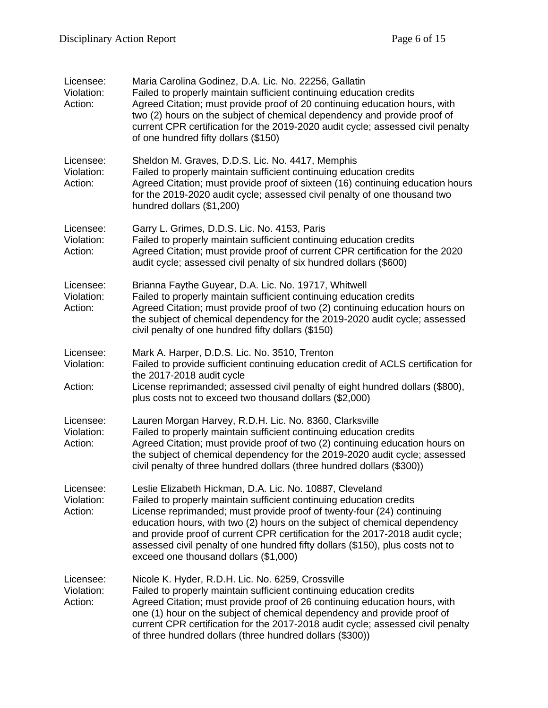| Licensee:<br>Violation:<br>Action: | Maria Carolina Godinez, D.A. Lic. No. 22256, Gallatin<br>Failed to properly maintain sufficient continuing education credits<br>Agreed Citation; must provide proof of 20 continuing education hours, with<br>two (2) hours on the subject of chemical dependency and provide proof of<br>current CPR certification for the 2019-2020 audit cycle; assessed civil penalty<br>of one hundred fifty dollars (\$150)                                                                                  |  |
|------------------------------------|----------------------------------------------------------------------------------------------------------------------------------------------------------------------------------------------------------------------------------------------------------------------------------------------------------------------------------------------------------------------------------------------------------------------------------------------------------------------------------------------------|--|
| Licensee:<br>Violation:<br>Action: | Sheldon M. Graves, D.D.S. Lic. No. 4417, Memphis<br>Failed to properly maintain sufficient continuing education credits<br>Agreed Citation; must provide proof of sixteen (16) continuing education hours<br>for the 2019-2020 audit cycle; assessed civil penalty of one thousand two<br>hundred dollars (\$1,200)                                                                                                                                                                                |  |
| Licensee:<br>Violation:<br>Action: | Garry L. Grimes, D.D.S. Lic. No. 4153, Paris<br>Failed to properly maintain sufficient continuing education credits<br>Agreed Citation; must provide proof of current CPR certification for the 2020<br>audit cycle; assessed civil penalty of six hundred dollars (\$600)                                                                                                                                                                                                                         |  |
| Licensee:<br>Violation:<br>Action: | Brianna Faythe Guyear, D.A. Lic. No. 19717, Whitwell<br>Failed to properly maintain sufficient continuing education credits<br>Agreed Citation; must provide proof of two (2) continuing education hours on<br>the subject of chemical dependency for the 2019-2020 audit cycle; assessed<br>civil penalty of one hundred fifty dollars (\$150)                                                                                                                                                    |  |
| Licensee:<br>Violation:<br>Action: | Mark A. Harper, D.D.S. Lic. No. 3510, Trenton<br>Failed to provide sufficient continuing education credit of ACLS certification for<br>the 2017-2018 audit cycle<br>License reprimanded; assessed civil penalty of eight hundred dollars (\$800),<br>plus costs not to exceed two thousand dollars (\$2,000)                                                                                                                                                                                       |  |
| Licensee:<br>Violation:<br>Action: | Lauren Morgan Harvey, R.D.H. Lic. No. 8360, Clarksville<br>Failed to properly maintain sufficient continuing education credits<br>Agreed Citation; must provide proof of two (2) continuing education hours on<br>the subject of chemical dependency for the 2019-2020 audit cycle; assessed<br>civil penalty of three hundred dollars (three hundred dollars (\$300))                                                                                                                             |  |
| Licensee:<br>Violation:<br>Action: | Leslie Elizabeth Hickman, D.A. Lic. No. 10887, Cleveland<br>Failed to properly maintain sufficient continuing education credits<br>License reprimanded; must provide proof of twenty-four (24) continuing<br>education hours, with two (2) hours on the subject of chemical dependency<br>and provide proof of current CPR certification for the 2017-2018 audit cycle;<br>assessed civil penalty of one hundred fifty dollars (\$150), plus costs not to<br>exceed one thousand dollars (\$1,000) |  |
| Licensee:<br>Violation:<br>Action: | Nicole K. Hyder, R.D.H. Lic. No. 6259, Crossville<br>Failed to properly maintain sufficient continuing education credits<br>Agreed Citation; must provide proof of 26 continuing education hours, with<br>one (1) hour on the subject of chemical dependency and provide proof of<br>current CPR certification for the 2017-2018 audit cycle; assessed civil penalty<br>of three hundred dollars (three hundred dollars (\$300))                                                                   |  |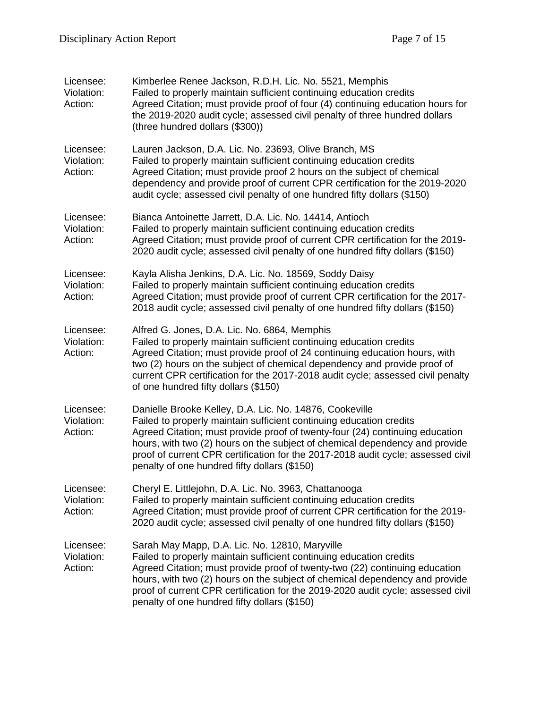| Licensee:<br>Violation:<br>Action: | Kimberlee Renee Jackson, R.D.H. Lic. No. 5521, Memphis<br>Failed to properly maintain sufficient continuing education credits<br>Agreed Citation; must provide proof of four (4) continuing education hours for<br>the 2019-2020 audit cycle; assessed civil penalty of three hundred dollars<br>(three hundred dollars (\$300))                                                                                                  |
|------------------------------------|-----------------------------------------------------------------------------------------------------------------------------------------------------------------------------------------------------------------------------------------------------------------------------------------------------------------------------------------------------------------------------------------------------------------------------------|
| Licensee:<br>Violation:<br>Action: | Lauren Jackson, D.A. Lic. No. 23693, Olive Branch, MS<br>Failed to properly maintain sufficient continuing education credits<br>Agreed Citation; must provide proof 2 hours on the subject of chemical<br>dependency and provide proof of current CPR certification for the 2019-2020<br>audit cycle; assessed civil penalty of one hundred fifty dollars (\$150)                                                                 |
| Licensee:<br>Violation:<br>Action: | Bianca Antoinette Jarrett, D.A. Lic. No. 14414, Antioch<br>Failed to properly maintain sufficient continuing education credits<br>Agreed Citation; must provide proof of current CPR certification for the 2019-<br>2020 audit cycle; assessed civil penalty of one hundred fifty dollars (\$150)                                                                                                                                 |
| Licensee:<br>Violation:<br>Action: | Kayla Alisha Jenkins, D.A. Lic. No. 18569, Soddy Daisy<br>Failed to properly maintain sufficient continuing education credits<br>Agreed Citation; must provide proof of current CPR certification for the 2017-<br>2018 audit cycle; assessed civil penalty of one hundred fifty dollars (\$150)                                                                                                                                  |
| Licensee:<br>Violation:<br>Action: | Alfred G. Jones, D.A. Lic. No. 6864, Memphis<br>Failed to properly maintain sufficient continuing education credits<br>Agreed Citation; must provide proof of 24 continuing education hours, with<br>two (2) hours on the subject of chemical dependency and provide proof of<br>current CPR certification for the 2017-2018 audit cycle; assessed civil penalty<br>of one hundred fifty dollars (\$150)                          |
| Licensee:<br>Violation:<br>Action: | Danielle Brooke Kelley, D.A. Lic. No. 14876, Cookeville<br>Failed to properly maintain sufficient continuing education credits<br>Agreed Citation; must provide proof of twenty-four (24) continuing education<br>hours, with two (2) hours on the subject of chemical dependency and provide<br>proof of current CPR certification for the 2017-2018 audit cycle; assessed civil<br>penalty of one hundred fifty dollars (\$150) |
| Licensee:<br>Violation:<br>Action: | Cheryl E. Littlejohn, D.A. Lic. No. 3963, Chattanooga<br>Failed to properly maintain sufficient continuing education credits<br>Agreed Citation; must provide proof of current CPR certification for the 2019-<br>2020 audit cycle; assessed civil penalty of one hundred fifty dollars (\$150)                                                                                                                                   |
| Licensee:<br>Violation:<br>Action: | Sarah May Mapp, D.A. Lic. No. 12810, Maryville<br>Failed to properly maintain sufficient continuing education credits<br>Agreed Citation; must provide proof of twenty-two (22) continuing education<br>hours, with two (2) hours on the subject of chemical dependency and provide<br>proof of current CPR certification for the 2019-2020 audit cycle; assessed civil<br>penalty of one hundred fifty dollars (\$150)           |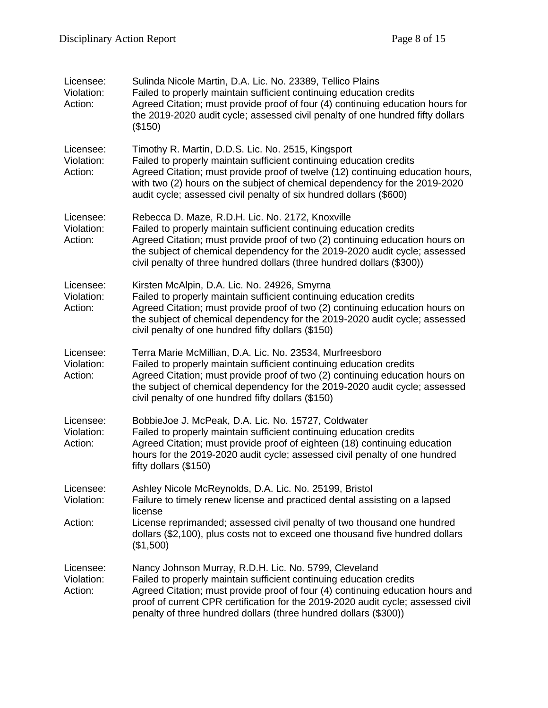| Licensee:<br>Violation:<br>Action: | Sulinda Nicole Martin, D.A. Lic. No. 23389, Tellico Plains<br>Failed to properly maintain sufficient continuing education credits<br>Agreed Citation; must provide proof of four (4) continuing education hours for<br>the 2019-2020 audit cycle; assessed civil penalty of one hundred fifty dollars<br>(\$150)                                                       |
|------------------------------------|------------------------------------------------------------------------------------------------------------------------------------------------------------------------------------------------------------------------------------------------------------------------------------------------------------------------------------------------------------------------|
| Licensee:<br>Violation:<br>Action: | Timothy R. Martin, D.D.S. Lic. No. 2515, Kingsport<br>Failed to properly maintain sufficient continuing education credits<br>Agreed Citation; must provide proof of twelve (12) continuing education hours,<br>with two (2) hours on the subject of chemical dependency for the 2019-2020<br>audit cycle; assessed civil penalty of six hundred dollars (\$600)        |
| Licensee:<br>Violation:<br>Action: | Rebecca D. Maze, R.D.H. Lic. No. 2172, Knoxville<br>Failed to properly maintain sufficient continuing education credits<br>Agreed Citation; must provide proof of two (2) continuing education hours on<br>the subject of chemical dependency for the 2019-2020 audit cycle; assessed<br>civil penalty of three hundred dollars (three hundred dollars (\$300))        |
| Licensee:<br>Violation:<br>Action: | Kirsten McAlpin, D.A. Lic. No. 24926, Smyrna<br>Failed to properly maintain sufficient continuing education credits<br>Agreed Citation; must provide proof of two (2) continuing education hours on<br>the subject of chemical dependency for the 2019-2020 audit cycle; assessed<br>civil penalty of one hundred fifty dollars (\$150)                                |
| Licensee:<br>Violation:<br>Action: | Terra Marie McMillian, D.A. Lic. No. 23534, Murfreesboro<br>Failed to properly maintain sufficient continuing education credits<br>Agreed Citation; must provide proof of two (2) continuing education hours on<br>the subject of chemical dependency for the 2019-2020 audit cycle; assessed<br>civil penalty of one hundred fifty dollars (\$150)                    |
| Licensee:<br>Violation:<br>Action: | BobbieJoe J. McPeak, D.A. Lic. No. 15727, Coldwater<br>Failed to properly maintain sufficient continuing education credits<br>Agreed Citation; must provide proof of eighteen (18) continuing education<br>hours for the 2019-2020 audit cycle; assessed civil penalty of one hundred<br>fifty dollars $(\$150)$                                                       |
| Licensee:<br>Violation:            | Ashley Nicole McReynolds, D.A. Lic. No. 25199, Bristol<br>Failure to timely renew license and practiced dental assisting on a lapsed<br>license                                                                                                                                                                                                                        |
| Action:                            | License reprimanded; assessed civil penalty of two thousand one hundred<br>dollars (\$2,100), plus costs not to exceed one thousand five hundred dollars<br>(\$1,500)                                                                                                                                                                                                  |
| Licensee:<br>Violation:<br>Action: | Nancy Johnson Murray, R.D.H. Lic. No. 5799, Cleveland<br>Failed to properly maintain sufficient continuing education credits<br>Agreed Citation; must provide proof of four (4) continuing education hours and<br>proof of current CPR certification for the 2019-2020 audit cycle; assessed civil<br>penalty of three hundred dollars (three hundred dollars (\$300)) |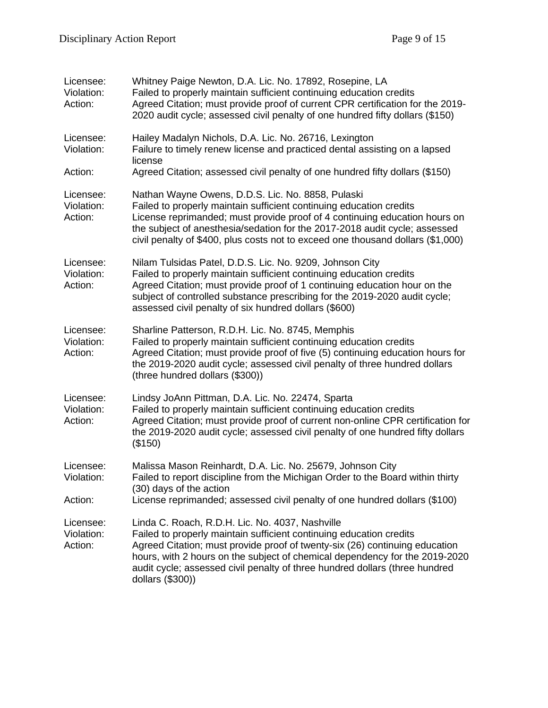| Licensee:<br>Violation:<br>Action: | Whitney Paige Newton, D.A. Lic. No. 17892, Rosepine, LA<br>Failed to properly maintain sufficient continuing education credits<br>Agreed Citation; must provide proof of current CPR certification for the 2019-<br>2020 audit cycle; assessed civil penalty of one hundred fifty dollars (\$150)                                                                                       |
|------------------------------------|-----------------------------------------------------------------------------------------------------------------------------------------------------------------------------------------------------------------------------------------------------------------------------------------------------------------------------------------------------------------------------------------|
| Licensee:<br>Violation:            | Hailey Madalyn Nichols, D.A. Lic. No. 26716, Lexington<br>Failure to timely renew license and practiced dental assisting on a lapsed<br>license                                                                                                                                                                                                                                         |
| Action:                            | Agreed Citation; assessed civil penalty of one hundred fifty dollars (\$150)                                                                                                                                                                                                                                                                                                            |
| Licensee:<br>Violation:<br>Action: | Nathan Wayne Owens, D.D.S. Lic. No. 8858, Pulaski<br>Failed to properly maintain sufficient continuing education credits<br>License reprimanded; must provide proof of 4 continuing education hours on<br>the subject of anesthesia/sedation for the 2017-2018 audit cycle; assessed<br>civil penalty of \$400, plus costs not to exceed one thousand dollars (\$1,000)                 |
| Licensee:<br>Violation:<br>Action: | Nilam Tulsidas Patel, D.D.S. Lic. No. 9209, Johnson City<br>Failed to properly maintain sufficient continuing education credits<br>Agreed Citation; must provide proof of 1 continuing education hour on the<br>subject of controlled substance prescribing for the 2019-2020 audit cycle;<br>assessed civil penalty of six hundred dollars (\$600)                                     |
| Licensee:<br>Violation:<br>Action: | Sharline Patterson, R.D.H. Lic. No. 8745, Memphis<br>Failed to properly maintain sufficient continuing education credits<br>Agreed Citation; must provide proof of five (5) continuing education hours for<br>the 2019-2020 audit cycle; assessed civil penalty of three hundred dollars<br>(three hundred dollars (\$300))                                                             |
| Licensee:<br>Violation:<br>Action: | Lindsy JoAnn Pittman, D.A. Lic. No. 22474, Sparta<br>Failed to properly maintain sufficient continuing education credits<br>Agreed Citation; must provide proof of current non-online CPR certification for<br>the 2019-2020 audit cycle; assessed civil penalty of one hundred fifty dollars<br>(\$150)                                                                                |
| Licensee:<br>Violation:            | Malissa Mason Reinhardt, D.A. Lic. No. 25679, Johnson City<br>Failed to report discipline from the Michigan Order to the Board within thirty<br>(30) days of the action                                                                                                                                                                                                                 |
| Action:                            | License reprimanded; assessed civil penalty of one hundred dollars (\$100)                                                                                                                                                                                                                                                                                                              |
| Licensee:<br>Violation:<br>Action: | Linda C. Roach, R.D.H. Lic. No. 4037, Nashville<br>Failed to properly maintain sufficient continuing education credits<br>Agreed Citation; must provide proof of twenty-six (26) continuing education<br>hours, with 2 hours on the subject of chemical dependency for the 2019-2020<br>audit cycle; assessed civil penalty of three hundred dollars (three hundred<br>dollars (\$300)) |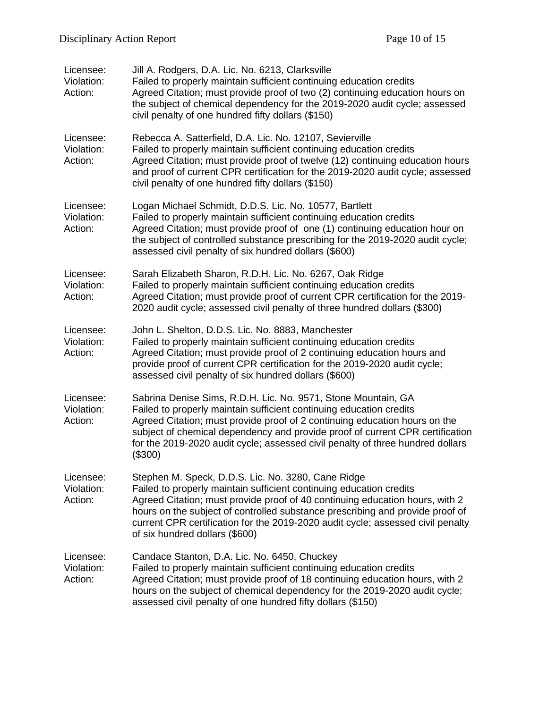| Licensee:<br>Violation:<br>Action: | Jill A. Rodgers, D.A. Lic. No. 6213, Clarksville<br>Failed to properly maintain sufficient continuing education credits<br>Agreed Citation; must provide proof of two (2) continuing education hours on<br>the subject of chemical dependency for the 2019-2020 audit cycle; assessed<br>civil penalty of one hundred fifty dollars (\$150)                                                                     |
|------------------------------------|-----------------------------------------------------------------------------------------------------------------------------------------------------------------------------------------------------------------------------------------------------------------------------------------------------------------------------------------------------------------------------------------------------------------|
| Licensee:<br>Violation:<br>Action: | Rebecca A. Satterfield, D.A. Lic. No. 12107, Sevierville<br>Failed to properly maintain sufficient continuing education credits<br>Agreed Citation; must provide proof of twelve (12) continuing education hours<br>and proof of current CPR certification for the 2019-2020 audit cycle; assessed<br>civil penalty of one hundred fifty dollars (\$150)                                                        |
| Licensee:<br>Violation:<br>Action: | Logan Michael Schmidt, D.D.S. Lic. No. 10577, Bartlett<br>Failed to properly maintain sufficient continuing education credits<br>Agreed Citation; must provide proof of one (1) continuing education hour on<br>the subject of controlled substance prescribing for the 2019-2020 audit cycle;<br>assessed civil penalty of six hundred dollars (\$600)                                                         |
| Licensee:<br>Violation:<br>Action: | Sarah Elizabeth Sharon, R.D.H. Lic. No. 6267, Oak Ridge<br>Failed to properly maintain sufficient continuing education credits<br>Agreed Citation; must provide proof of current CPR certification for the 2019-<br>2020 audit cycle; assessed civil penalty of three hundred dollars (\$300)                                                                                                                   |
| Licensee:<br>Violation:<br>Action: | John L. Shelton, D.D.S. Lic. No. 8883, Manchester<br>Failed to properly maintain sufficient continuing education credits<br>Agreed Citation; must provide proof of 2 continuing education hours and<br>provide proof of current CPR certification for the 2019-2020 audit cycle;<br>assessed civil penalty of six hundred dollars (\$600)                                                                       |
| Licensee:<br>Violation:<br>Action: | Sabrina Denise Sims, R.D.H. Lic. No. 9571, Stone Mountain, GA<br>Failed to properly maintain sufficient continuing education credits<br>Agreed Citation; must provide proof of 2 continuing education hours on the<br>subject of chemical dependency and provide proof of current CPR certification<br>for the 2019-2020 audit cycle; assessed civil penalty of three hundred dollars<br>(\$300)                |
| Licensee:<br>Violation:<br>Action: | Stephen M. Speck, D.D.S. Lic. No. 3280, Cane Ridge<br>Failed to properly maintain sufficient continuing education credits<br>Agreed Citation; must provide proof of 40 continuing education hours, with 2<br>hours on the subject of controlled substance prescribing and provide proof of<br>current CPR certification for the 2019-2020 audit cycle; assessed civil penalty<br>of six hundred dollars (\$600) |
| Licensee:<br>Violation:<br>Action: | Candace Stanton, D.A. Lic. No. 6450, Chuckey<br>Failed to properly maintain sufficient continuing education credits<br>Agreed Citation; must provide proof of 18 continuing education hours, with 2<br>hours on the subject of chemical dependency for the 2019-2020 audit cycle;<br>assessed civil penalty of one hundred fifty dollars (\$150)                                                                |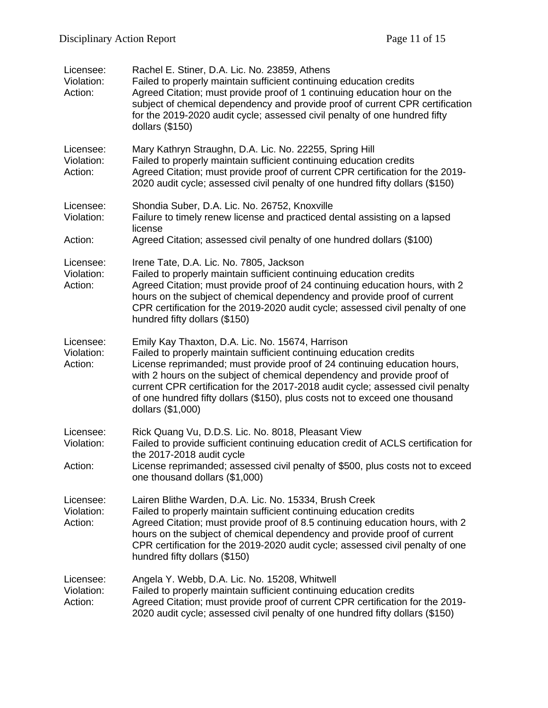| Licensee:<br>Violation:<br>Action: | Rachel E. Stiner, D.A. Lic. No. 23859, Athens<br>Failed to properly maintain sufficient continuing education credits<br>Agreed Citation; must provide proof of 1 continuing education hour on the<br>subject of chemical dependency and provide proof of current CPR certification<br>for the 2019-2020 audit cycle; assessed civil penalty of one hundred fifty<br>dollars $(\$150)$                                                                                  |
|------------------------------------|------------------------------------------------------------------------------------------------------------------------------------------------------------------------------------------------------------------------------------------------------------------------------------------------------------------------------------------------------------------------------------------------------------------------------------------------------------------------|
| Licensee:<br>Violation:<br>Action: | Mary Kathryn Straughn, D.A. Lic. No. 22255, Spring Hill<br>Failed to properly maintain sufficient continuing education credits<br>Agreed Citation; must provide proof of current CPR certification for the 2019-<br>2020 audit cycle; assessed civil penalty of one hundred fifty dollars (\$150)                                                                                                                                                                      |
| Licensee:<br>Violation:<br>Action: | Shondia Suber, D.A. Lic. No. 26752, Knoxville<br>Failure to timely renew license and practiced dental assisting on a lapsed<br>license<br>Agreed Citation; assessed civil penalty of one hundred dollars (\$100)                                                                                                                                                                                                                                                       |
| Licensee:<br>Violation:<br>Action: | Irene Tate, D.A. Lic. No. 7805, Jackson<br>Failed to properly maintain sufficient continuing education credits<br>Agreed Citation; must provide proof of 24 continuing education hours, with 2<br>hours on the subject of chemical dependency and provide proof of current<br>CPR certification for the 2019-2020 audit cycle; assessed civil penalty of one<br>hundred fifty dollars (\$150)                                                                          |
| Licensee:<br>Violation:<br>Action: | Emily Kay Thaxton, D.A. Lic. No. 15674, Harrison<br>Failed to properly maintain sufficient continuing education credits<br>License reprimanded; must provide proof of 24 continuing education hours,<br>with 2 hours on the subject of chemical dependency and provide proof of<br>current CPR certification for the 2017-2018 audit cycle; assessed civil penalty<br>of one hundred fifty dollars (\$150), plus costs not to exceed one thousand<br>dollars (\$1,000) |
| Licensee:<br>Violation:            | Rick Quang Vu, D.D.S. Lic. No. 8018, Pleasant View<br>Failed to provide sufficient continuing education credit of ACLS certification for                                                                                                                                                                                                                                                                                                                               |
| Action:                            | the 2017-2018 audit cycle<br>License reprimanded; assessed civil penalty of \$500, plus costs not to exceed<br>one thousand dollars (\$1,000)                                                                                                                                                                                                                                                                                                                          |
| Licensee:<br>Violation:<br>Action: | Lairen Blithe Warden, D.A. Lic. No. 15334, Brush Creek<br>Failed to properly maintain sufficient continuing education credits<br>Agreed Citation; must provide proof of 8.5 continuing education hours, with 2<br>hours on the subject of chemical dependency and provide proof of current<br>CPR certification for the 2019-2020 audit cycle; assessed civil penalty of one<br>hundred fifty dollars (\$150)                                                          |
| Licensee:<br>Violation:<br>Action: | Angela Y. Webb, D.A. Lic. No. 15208, Whitwell<br>Failed to properly maintain sufficient continuing education credits<br>Agreed Citation; must provide proof of current CPR certification for the 2019-<br>2020 audit cycle; assessed civil penalty of one hundred fifty dollars (\$150)                                                                                                                                                                                |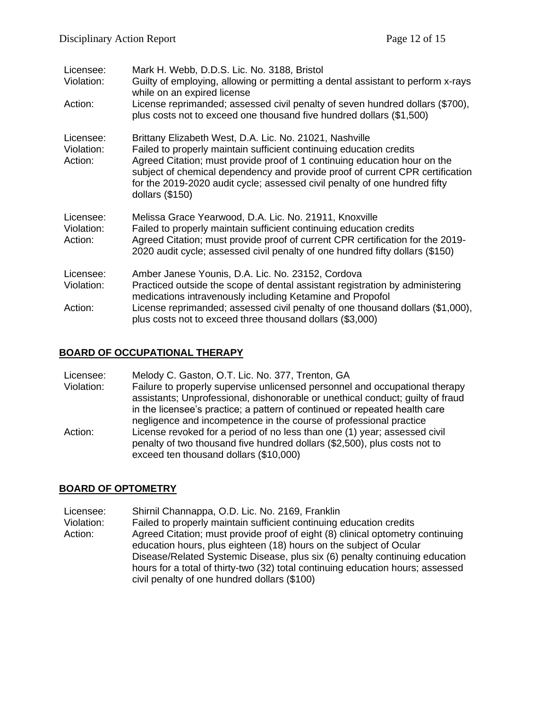| Licensee:<br>Violation:            | Mark H. Webb, D.D.S. Lic. No. 3188, Bristol<br>Guilty of employing, allowing or permitting a dental assistant to perform x-rays<br>while on an expired license                                                                                                                                                                                                                                |
|------------------------------------|-----------------------------------------------------------------------------------------------------------------------------------------------------------------------------------------------------------------------------------------------------------------------------------------------------------------------------------------------------------------------------------------------|
| Action:                            | License reprimanded; assessed civil penalty of seven hundred dollars (\$700),<br>plus costs not to exceed one thousand five hundred dollars (\$1,500)                                                                                                                                                                                                                                         |
| Licensee:<br>Violation:<br>Action: | Brittany Elizabeth West, D.A. Lic. No. 21021, Nashville<br>Failed to properly maintain sufficient continuing education credits<br>Agreed Citation; must provide proof of 1 continuing education hour on the<br>subject of chemical dependency and provide proof of current CPR certification<br>for the 2019-2020 audit cycle; assessed civil penalty of one hundred fifty<br>dollars (\$150) |
| Licensee:<br>Violation:<br>Action: | Melissa Grace Yearwood, D.A. Lic. No. 21911, Knoxville<br>Failed to properly maintain sufficient continuing education credits<br>Agreed Citation; must provide proof of current CPR certification for the 2019-<br>2020 audit cycle; assessed civil penalty of one hundred fifty dollars (\$150)                                                                                              |
| Licensee:<br>Violation:            | Amber Janese Younis, D.A. Lic. No. 23152, Cordova<br>Practiced outside the scope of dental assistant registration by administering                                                                                                                                                                                                                                                            |
|                                    | medications intravenously including Ketamine and Propofol                                                                                                                                                                                                                                                                                                                                     |
| Action:                            | License reprimanded; assessed civil penalty of one thousand dollars (\$1,000),<br>plus costs not to exceed three thousand dollars (\$3,000)                                                                                                                                                                                                                                                   |

#### **BOARD OF OCCUPATIONAL THERAPY**

Licensee: Melody C. Gaston, O.T. Lic. No. 377, Trenton, GA

Violation: Failure to properly supervise unlicensed personnel and occupational therapy assistants; Unprofessional, dishonorable or unethical conduct; guilty of fraud in the licensee's practice; a pattern of continued or repeated health care negligence and incompetence in the course of professional practice Action: License revoked for a period of no less than one (1) year; assessed civil

penalty of two thousand five hundred dollars (\$2,500), plus costs not to exceed ten thousand dollars (\$10,000)

#### **BOARD OF OPTOMETRY**

Licensee: Shirnil Channappa, O.D. Lic. No. 2169, Franklin

Violation: Failed to properly maintain sufficient continuing education credits<br>Action: Agreed Citation: must provide proof of eight (8) clinical optometry Agreed Citation; must provide proof of eight (8) clinical optometry continuing education hours, plus eighteen (18) hours on the subject of Ocular Disease/Related Systemic Disease, plus six (6) penalty continuing education hours for a total of thirty-two (32) total continuing education hours; assessed civil penalty of one hundred dollars (\$100)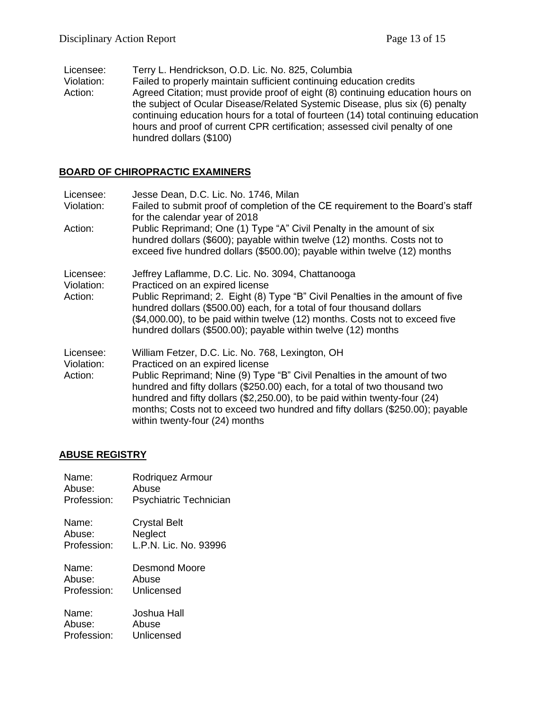- Licensee: Terry L. Hendrickson, O.D. Lic. No. 825, Columbia
- Violation: Failed to properly maintain sufficient continuing education credits Action: Agreed Citation; must provide proof of eight (8) continuing education hours on the subject of Ocular Disease/Related Systemic Disease, plus six (6) penalty continuing education hours for a total of fourteen (14) total continuing education hours and proof of current CPR certification; assessed civil penalty of one hundred dollars (\$100)

## **BOARD OF CHIROPRACTIC EXAMINERS**

| Licensee:                          | Jesse Dean, D.C. Lic. No. 1746, Milan                                                                                                                                                                                                                                                                                                                                                                                                          |
|------------------------------------|------------------------------------------------------------------------------------------------------------------------------------------------------------------------------------------------------------------------------------------------------------------------------------------------------------------------------------------------------------------------------------------------------------------------------------------------|
| Violation:                         | Failed to submit proof of completion of the CE requirement to the Board's staff<br>for the calendar year of 2018                                                                                                                                                                                                                                                                                                                               |
| Action:                            | Public Reprimand; One (1) Type "A" Civil Penalty in the amount of six<br>hundred dollars (\$600); payable within twelve (12) months. Costs not to<br>exceed five hundred dollars (\$500.00); payable within twelve (12) months                                                                                                                                                                                                                 |
| Licensee:<br>Violation:<br>Action: | Jeffrey Laflamme, D.C. Lic. No. 3094, Chattanooga<br>Practiced on an expired license<br>Public Reprimand; 2. Eight (8) Type "B" Civil Penalties in the amount of five<br>hundred dollars (\$500.00) each, for a total of four thousand dollars<br>(\$4,000.00), to be paid within twelve (12) months. Costs not to exceed five<br>hundred dollars (\$500.00); payable within twelve (12) months                                                |
| Licensee:<br>Violation:<br>Action: | William Fetzer, D.C. Lic. No. 768, Lexington, OH<br>Practiced on an expired license<br>Public Reprimand; Nine (9) Type "B" Civil Penalties in the amount of two<br>hundred and fifty dollars (\$250.00) each, for a total of two thousand two<br>hundred and fifty dollars (\$2,250.00), to be paid within twenty-four (24)<br>months; Costs not to exceed two hundred and fifty dollars (\$250.00); payable<br>within twenty-four (24) months |

# **ABUSE REGISTRY**

| Name:       | Rodriquez Armour       |
|-------------|------------------------|
| Abuse:      | Abuse                  |
| Profession: | Psychiatric Technician |
| Name:       | Crystal Belt           |
| Abuse:      | Neglect                |
| Profession: | L.P.N. Lic. No. 93996  |
| Name:       | Desmond Moore          |
| Abuse:      | Abuse                  |
| Profession: | Unlicensed             |
| Name:       | Joshua Hall            |
| Abuse:      | Abuse                  |
| Profession: | Unlicensed             |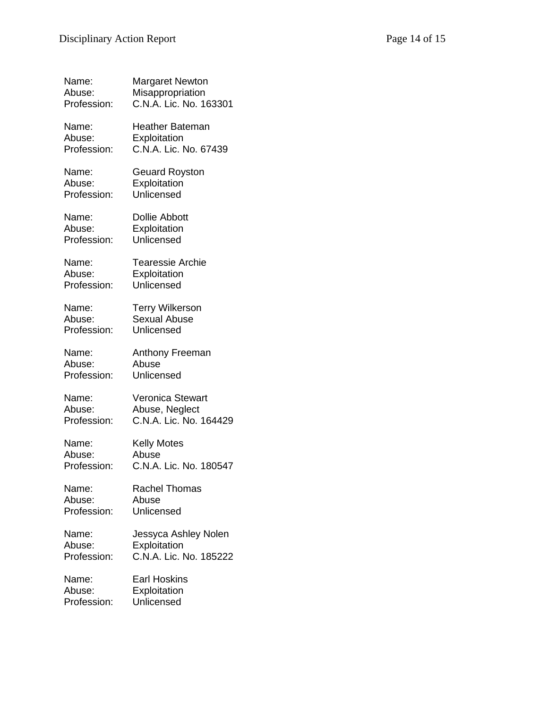| Name:       | Margaret Newton         |
|-------------|-------------------------|
| Abuse:      | Misappropriation        |
| Profession: | C.N.A. Lic. No. 163301  |
| Name:       | Heather Bateman         |
| Abuse:      | Exploitation            |
| Profession: | C.N.A. Lic. No. 67439   |
| Name:       | <b>Geuard Royston</b>   |
| Abuse:      | Exploitation            |
| Profession: | Unlicensed              |
| Name:       | <b>Dollie Abbott</b>    |
| Abuse:      | Exploitation            |
| Profession: | Unlicensed              |
| Name:       | <b>Tearessie Archie</b> |
| Abuse:      | Exploitation            |
| Profession: | Unlicensed              |
| Name:       | <b>Terry Wilkerson</b>  |
| Abuse:      | Sexual Abuse            |
| Profession: | Unlicensed              |
| Name:       | Anthony Freeman         |
| Abuse:      | Abuse                   |
| Profession: | Unlicensed              |
| Name:       | Veronica Stewart        |
| Abuse:      | Abuse, Neglect          |
| Profession: | C.N.A. Lic. No. 164429  |
| Name:       | Kelly Motes             |
| Abuse:      | Abuse                   |
| Profession: | C.N.A. Lic. No. 180547  |
| Name:       | <b>Rachel Thomas</b>    |
| Abuse:      | Abuse                   |
| Profession: | Unlicensed              |
| Name:       | Jessyca Ashley Nolen    |
| Abuse:      | Exploitation            |
| Profession: | C.N.A. Lic. No. 185222  |
| Name:       | <b>Earl Hoskins</b>     |
| Abuse:      | Exploitation            |
| Profession: | Unlicensed              |